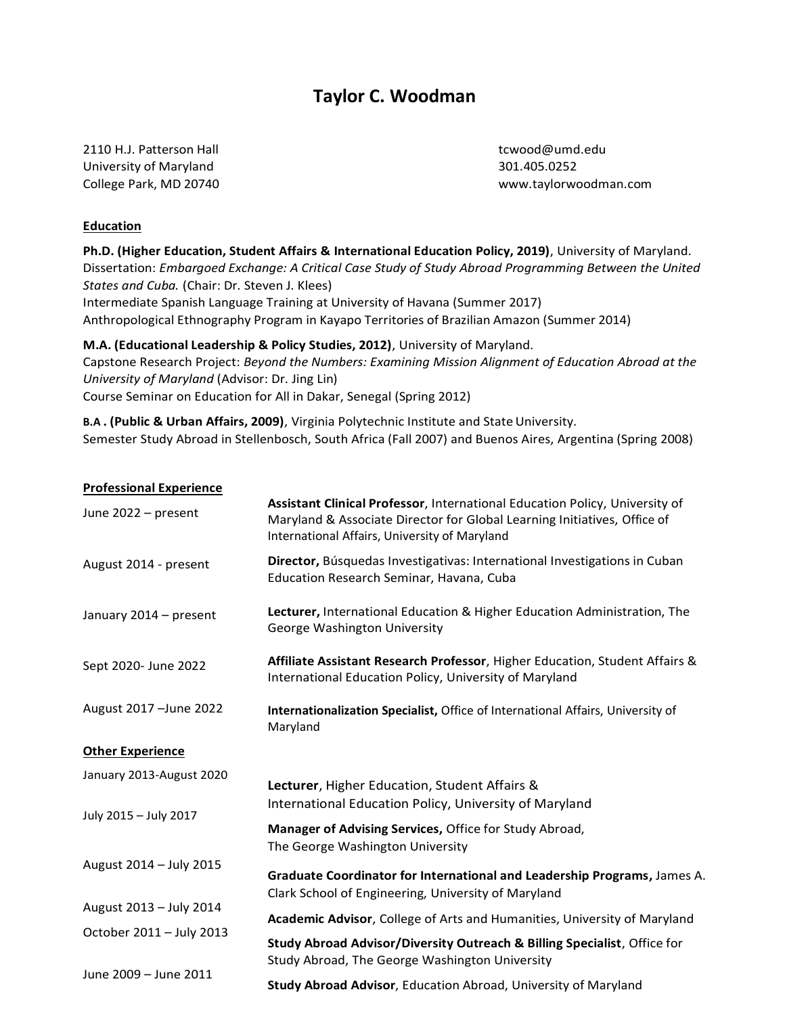# **Taylor C. Woodman**

2110 H.J. Patterson Hall [tcwood@umd.edu](mailto:tcwood@umd.edu) University of Maryland 301.405.0252

College Park, MD 20740 [www.taylorwoodman.com](http://www.taylorwoodman.com/)

# **Education**

**Ph.D. (Higher Education, Student Affairs & International Education Policy, 2019)**, University of Maryland. Dissertation: *Embargoed Exchange: A Critical Case Study of Study Abroad Programming Between the United States and Cuba.* (Chair: Dr. Steven J. Klees) Intermediate Spanish Language Training at University of Havana (Summer 2017) Anthropological Ethnography Program in Kayapo Territories of Brazilian Amazon (Summer 2014) **M.A. (Educational Leadership & Policy Studies, 2012)**, University of Maryland.

Capstone Research Project: *Beyond the Numbers: Examining Mission Alignment of Education Abroad at the University of Maryland* (Advisor: Dr. Jing Lin) Course Seminar on Education for All in Dakar, Senegal (Spring 2012)

**B.A. (Public & Urban Affairs, 2009)**, Virginia Polytechnic Institute and State University. Semester Study Abroad in Stellenbosch, South Africa (Fall 2007) and Buenos Aires, Argentina (Spring 2008)

# **Professional Experience**

| June 2022 – present      | Assistant Clinical Professor, International Education Policy, University of<br>Maryland & Associate Director for Global Learning Initiatives, Office of<br>International Affairs, University of Maryland |
|--------------------------|----------------------------------------------------------------------------------------------------------------------------------------------------------------------------------------------------------|
| August 2014 - present    | Director, Búsquedas Investigativas: International Investigations in Cuban<br>Education Research Seminar, Havana, Cuba                                                                                    |
| January 2014 - present   | Lecturer, International Education & Higher Education Administration, The<br>George Washington University                                                                                                 |
| Sept 2020- June 2022     | Affiliate Assistant Research Professor, Higher Education, Student Affairs &<br>International Education Policy, University of Maryland                                                                    |
| August 2017 - June 2022  | Internationalization Specialist, Office of International Affairs, University of<br>Maryland                                                                                                              |
| <b>Other Experience</b>  |                                                                                                                                                                                                          |
| January 2013-August 2020 | Lecturer, Higher Education, Student Affairs &<br>International Education Policy, University of Maryland                                                                                                  |
| July 2015 - July 2017    | Manager of Advising Services, Office for Study Abroad,<br>The George Washington University                                                                                                               |
| August 2014 - July 2015  | Graduate Coordinator for International and Leadership Programs, James A.<br>Clark School of Engineering, University of Maryland                                                                          |
| August 2013 - July 2014  | Academic Advisor, College of Arts and Humanities, University of Maryland                                                                                                                                 |
| October 2011 - July 2013 | Study Abroad Advisor/Diversity Outreach & Billing Specialist, Office for<br>Study Abroad, The George Washington University                                                                               |
| June 2009 - June 2011    | Study Abroad Advisor, Education Abroad, University of Maryland                                                                                                                                           |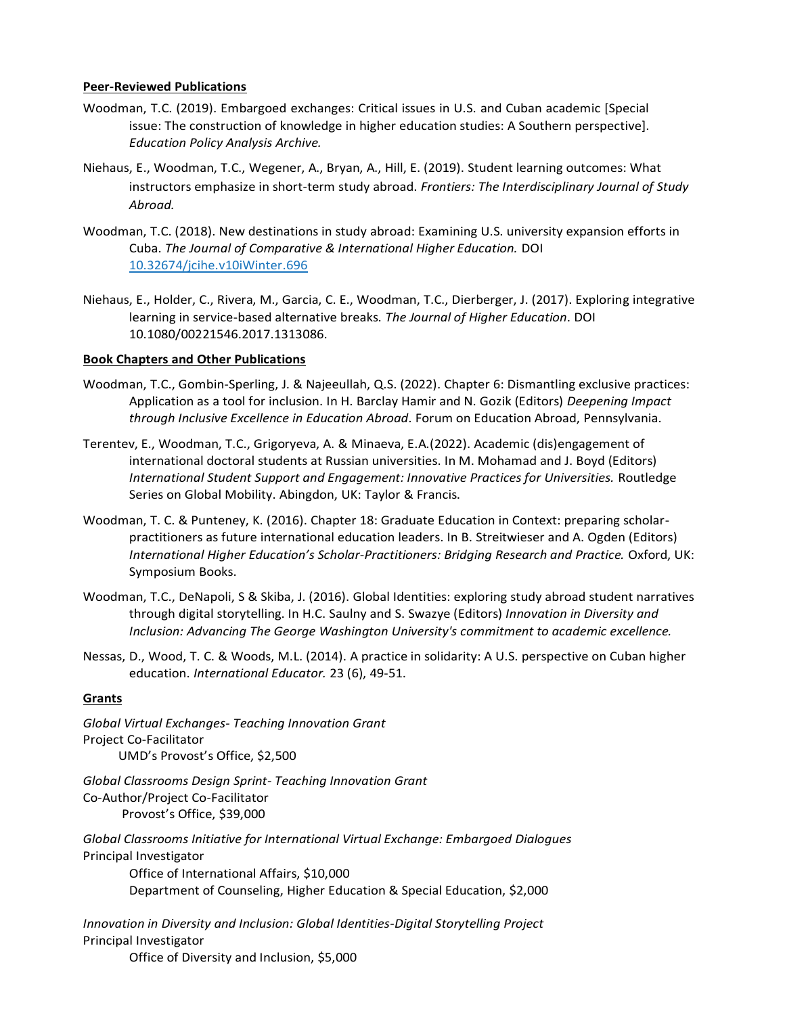# **Peer-Reviewed Publications**

- Woodman, T.C. (2019). Embargoed exchanges: Critical issues in U.S. and Cuban academic [Special issue: The construction of knowledge in higher education studies: A Southern perspective]. *Education Policy Analysis Archive.*
- Niehaus, E., Woodman, T.C., Wegener, A., Bryan, A., Hill, E. (2019). Student learning outcomes: What instructors emphasize in short-term study abroad. *Frontiers: The Interdisciplinary Journal of Study Abroad.*
- Woodman, T.C. (2018). New destinations in study abroad: Examining U.S. university expansion efforts in Cuba. *The Journal of Comparative & International Higher Education.* DOI 10.32674/jcihe.v10iWinter.696
- Niehaus, E., Holder, C., Rivera, M., Garcia, C. E., Woodman, T.C., Dierberger, J. (2017). Exploring integrative learning in service-based alternative breaks. *The Journal of Higher Education*. DOI 10.1080/00221546.2017.1313086.

# **Book Chapters and Other Publications**

- Woodman, T.C., Gombin-Sperling, J. & Najeeullah, Q.S. (2022). Chapter 6: Dismantling exclusive practices: Application as a tool for inclusion. In H. Barclay Hamir and N. Gozik (Editors) *Deepening Impact through Inclusive Excellence in Education Abroad*. Forum on Education Abroad, Pennsylvania.
- Terentev, E., Woodman, T.C., Grigoryeva, A. & Minaeva, E.A.(2022). Academic (dis)engagement of international doctoral students at Russian universities. In M. Mohamad and J. Boyd (Editors) *International Student Support and Engagement: Innovative Practices for Universities.* Routledge Series on Global Mobility. Abingdon, UK: Taylor & Francis.
- Woodman, T. C. & Punteney, K. (2016). Chapter 18: Graduate Education in Context: preparing scholarpractitioners as future international education leaders. In B. Streitwieser and A. Ogden (Editors) *International Higher Education's Scholar-Practitioners: Bridging Research and Practice.* Oxford, UK: Symposium Books.
- Woodman, T.C., DeNapoli, S & Skiba, J. (2016). Global Identities: exploring study abroad student narratives through digital storytelling. In H.C. Saulny and S. Swazye (Editors) *Innovation in Diversity and Inclusion: Advancing The George Washington University's commitment to academic excellence.*
- Nessas, D., Wood, T. C. & Woods, M.L. (2014). A practice in solidarity: A U.S. perspective on Cuban higher education. *International Educator.* 23 (6), 49-51.

# **Grants**

*Global Virtual Exchanges- Teaching Innovation Grant* Project Co-Facilitator UMD's Provost's Office, \$2,500

*Global Classrooms Design Sprint- Teaching Innovation Grant*  Co-Author/Project Co-Facilitator Provost's Office, \$39,000

*Global Classrooms Initiative for International Virtual Exchange: Embargoed Dialogues* Principal Investigator Office of International Affairs, \$10,000 Department of Counseling, Higher Education & Special Education, \$2,000

*Innovation in Diversity and Inclusion: Global Identities-Digital Storytelling Project* Principal Investigator

Office of Diversity and Inclusion, \$5,000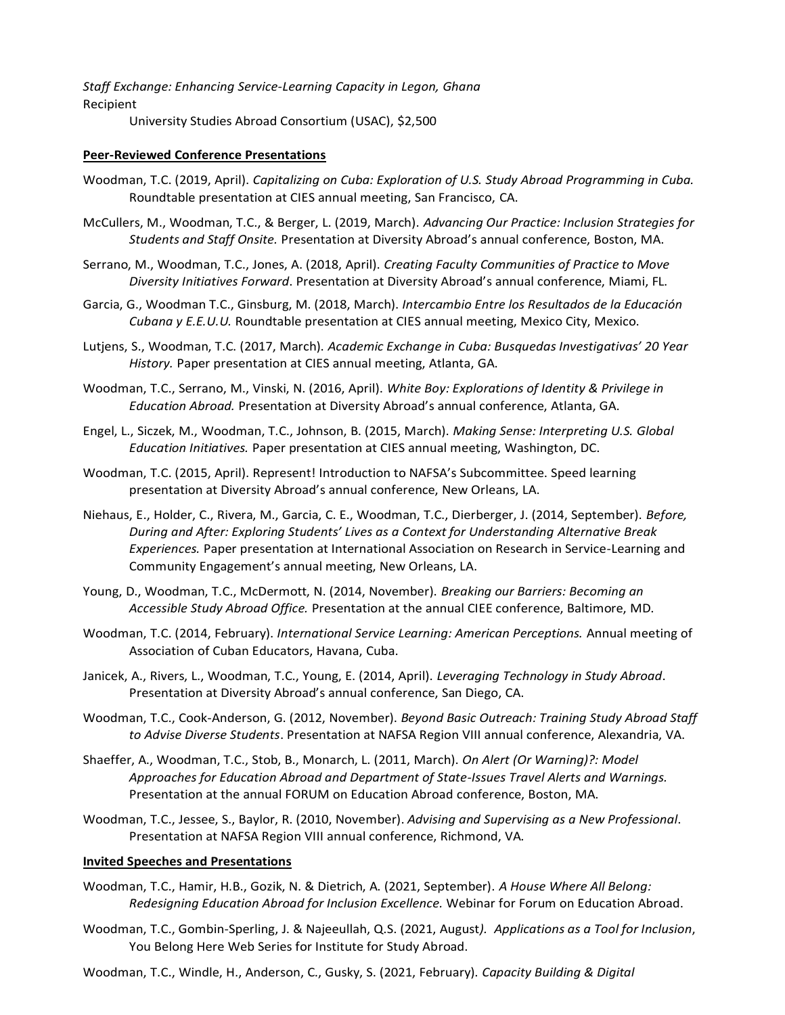*Staff Exchange: Enhancing Service-Learning Capacity in Legon, Ghana* Recipient University Studies Abroad Consortium (USAC), \$2,500

## **Peer-Reviewed Conference Presentations**

- Woodman, T.C. (2019, April). *Capitalizing on Cuba: Exploration of U.S. Study Abroad Programming in Cuba.* Roundtable presentation at CIES annual meeting, San Francisco, CA.
- McCullers, M., Woodman, T.C., & Berger, L. (2019, March). *Advancing Our Practice: Inclusion Strategies for Students and Staff Onsite.* Presentation at Diversity Abroad's annual conference, Boston, MA.
- Serrano, M., Woodman, T.C., Jones, A. (2018, April). *Creating Faculty Communities of Practice to Move Diversity Initiatives Forward*. Presentation at Diversity Abroad's annual conference, Miami, FL.
- Garcia, G., Woodman T.C., Ginsburg, M. (2018, March). *Intercambio Entre los Resultados de la Educación Cubana y E.E.U.U.* Roundtable presentation at CIES annual meeting, Mexico City, Mexico.
- Lutjens, S., Woodman, T.C. (2017, March). *Academic Exchange in Cuba: Busquedas Investigativas' 20 Year History.* Paper presentation at CIES annual meeting, Atlanta, GA.
- Woodman, T.C., Serrano, M., Vinski, N. (2016, April). *White Boy: Explorations of Identity & Privilege in Education Abroad.* Presentation at Diversity Abroad's annual conference, Atlanta, GA.
- Engel, L., Siczek, M., Woodman, T.C., Johnson, B. (2015, March). *Making Sense: Interpreting U.S. Global Education Initiatives.* Paper presentation at CIES annual meeting, Washington, DC.
- Woodman, T.C. (2015, April). Represent! Introduction to NAFSA's Subcommittee. Speed learning presentation at Diversity Abroad's annual conference, New Orleans, LA.
- Niehaus, E., Holder, C., Rivera, M., Garcia, C. E., Woodman, T.C., Dierberger, J. (2014, September). *Before, During and After: Exploring Students' Lives as a Context for Understanding Alternative Break Experiences.* Paper presentation at International Association on Research in Service-Learning and Community Engagement's annual meeting, New Orleans, LA.
- Young, D., Woodman, T.C., McDermott, N. (2014, November). *Breaking our Barriers: Becoming an Accessible Study Abroad Office.* Presentation at the annual CIEE conference, Baltimore, MD.
- Woodman, T.C. (2014, February). *International Service Learning: American Perceptions.* Annual meeting of Association of Cuban Educators, Havana, Cuba.
- Janicek, A., Rivers, L., Woodman, T.C., Young, E. (2014, April). *Leveraging Technology in Study Abroad*. Presentation at Diversity Abroad's annual conference, San Diego, CA.
- Woodman, T.C., Cook-Anderson, G. (2012, November). *Beyond Basic Outreach: Training Study Abroad Staff to Advise Diverse Students*. Presentation at NAFSA Region VIII annual conference, Alexandria, VA.
- Shaeffer, A., Woodman, T.C., Stob, B., Monarch, L. (2011, March). *On Alert (Or Warning)?: Model Approaches for Education Abroad and Department of State-Issues Travel Alerts and Warnings.*  Presentation at the annual FORUM on Education Abroad conference, Boston, MA.
- Woodman, T.C., Jessee, S., Baylor, R. (2010, November). *Advising and Supervising as a New Professional*. Presentation at NAFSA Region VIII annual conference, Richmond, VA.

#### **Invited Speeches and Presentations**

- Woodman, T.C., Hamir, H.B., Gozik, N. & Dietrich, A. (2021, September). *A House Where All Belong: Redesigning Education Abroad for Inclusion Excellence.* Webinar for Forum on Education Abroad.
- Woodman, T.C., Gombin-Sperling, J. & Najeeullah, Q.S. (2021, August*). Applications as a Tool for Inclusion*, You Belong Here Web Series for Institute for Study Abroad.
- Woodman, T.C., Windle, H., Anderson, C., Gusky, S. (2021, February). *Capacity Building & Digital*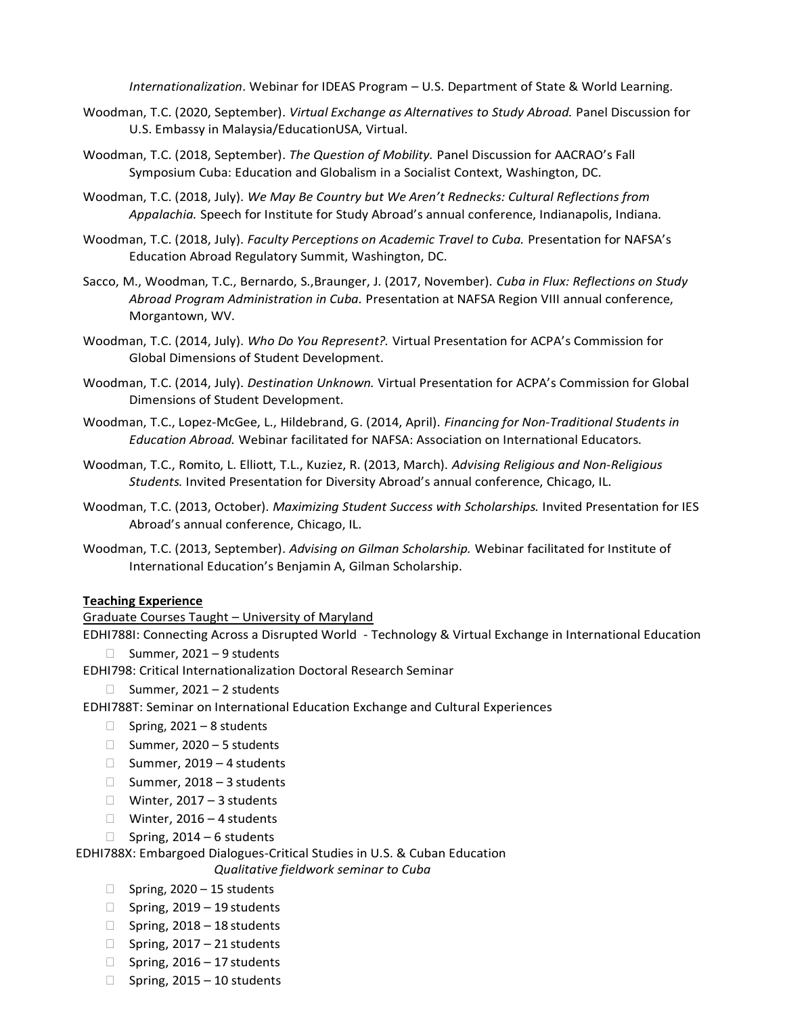*Internationalization*. Webinar for IDEAS Program – U.S. Department of State & World Learning.

- Woodman, T.C. (2020, September). *Virtual Exchange as Alternatives to Study Abroad.* Panel Discussion for U.S. Embassy in Malaysia/EducationUSA, Virtual.
- Woodman, T.C. (2018, September). *The Question of Mobility.* Panel Discussion for AACRAO's Fall Symposium Cuba: Education and Globalism in a Socialist Context, Washington, DC.
- Woodman, T.C. (2018, July). *We May Be Country but We Aren't Rednecks: Cultural Reflections from Appalachia.* Speech for Institute for Study Abroad's annual conference, Indianapolis, Indiana.
- Woodman, T.C. (2018, July). *Faculty Perceptions on Academic Travel to Cuba.* Presentation for NAFSA's Education Abroad Regulatory Summit, Washington, DC.
- Sacco, M., Woodman, T.C., Bernardo, S.,Braunger, J. (2017, November). *Cuba in Flux: Reflections on Study Abroad Program Administration in Cuba.* Presentation at NAFSA Region VIII annual conference, Morgantown, WV.
- Woodman, T.C. (2014, July). *Who Do You Represent?.* Virtual Presentation for ACPA's Commission for Global Dimensions of Student Development.
- Woodman, T.C. (2014, July). *Destination Unknown.* Virtual Presentation for ACPA's Commission for Global Dimensions of Student Development.
- Woodman, T.C., Lopez-McGee, L., Hildebrand, G. (2014, April). *Financing for Non-Traditional Students in Education Abroad.* Webinar facilitated for NAFSA: Association on International Educators.
- Woodman, T.C., Romito, L. Elliott, T.L., Kuziez, R. (2013, March). *Advising Religious and Non-Religious Students.* Invited Presentation for Diversity Abroad's annual conference, Chicago, IL.
- Woodman, T.C. (2013, October). *Maximizing Student Success with Scholarships.* Invited Presentation for IES Abroad's annual conference, Chicago, IL.
- Woodman, T.C. (2013, September). *Advising on Gilman Scholarship.* Webinar facilitated for Institute of International Education's Benjamin A, Gilman Scholarship.

#### **Teaching Experience**

### Graduate Courses Taught – University of Maryland

EDHI788I: Connecting Across a Disrupted World - Technology & Virtual Exchange in International Education

- $\Box$  Summer, 2021 9 students
- EDHI798: Critical Internationalization Doctoral Research Seminar
	- $\Box$  Summer, 2021 2 students

EDHI788T: Seminar on International Education Exchange and Cultural Experiences

- $\Box$  Spring, 2021 8 students
- $\Box$  Summer, 2020 5 students
- $\Box$  Summer, 2019 4 students
- $\Box$  Summer, 2018 3 students
- $\Box$  Winter, 2017 3 students
- $\Box$  Winter, 2016 4 students
- $\Box$  Spring, 2014 6 students

EDHI788X: Embargoed Dialogues-Critical Studies in U.S. & Cuban Education

*Qualitative fieldwork seminar to Cuba*

- $\Box$  Spring, 2020 15 students
- $\Box$  Spring, 2019 19 students
- $\Box$  Spring, 2018 18 students
- $\Box$  Spring, 2017 21 students
- $\Box$  Spring, 2016 17 students
- $\Box$  Spring, 2015 10 students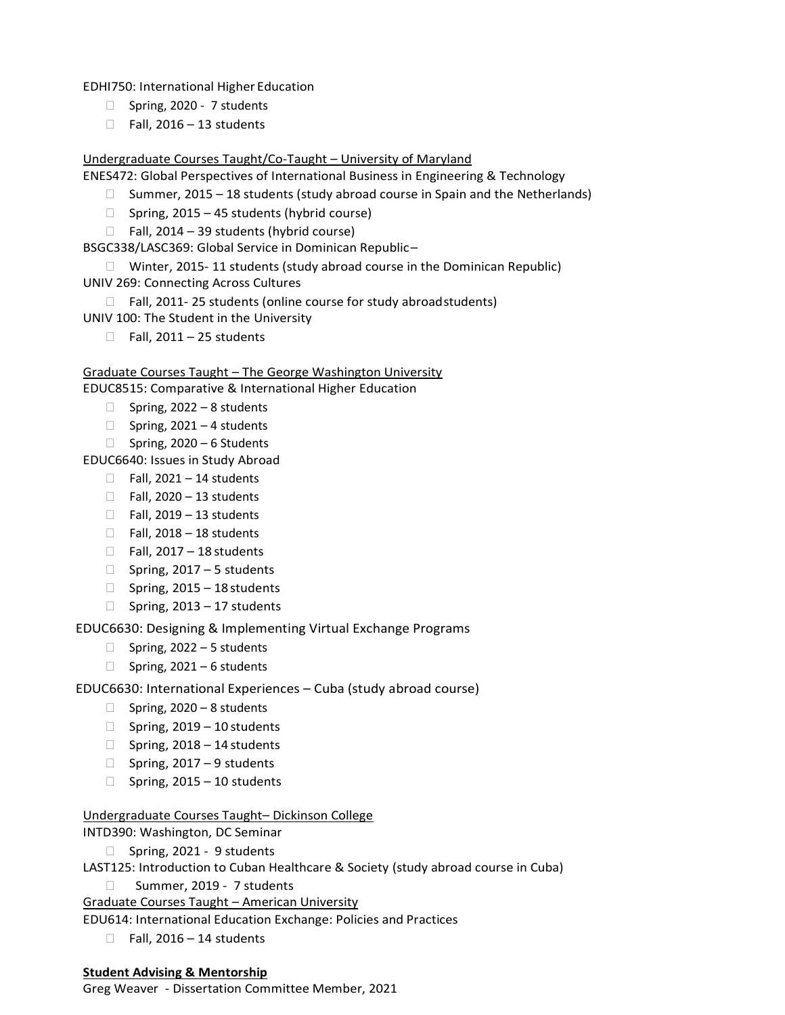EDHI750: International Higher Education

- □ Spring, 2020 7 students
- $\Box$  Fall, 2016 13 students

# Undergraduate Courses Taught/Co-Taught – University of Maryland

ENES472: Global Perspectives of International Business in Engineering & Technology

- $\Box$  Summer, 2015 18 students (study abroad course in Spain and the Netherlands)
- $\Box$  Spring, 2015 45 students (hybrid course)

 $\Box$  Fall, 2014 – 39 students (hybrid course)

BSGC338/LASC369: Global Service in Dominican Republic–

□ Winter, 2015-11 students (study abroad course in the Dominican Republic) UNIV 269: Connecting Across Cultures

□ Fall, 2011-25 students (online course for study abroadstudents)

UNIV 100: The Student in the University

 $\Box$  Fall, 2011 – 25 students

# Graduate Courses Taught – The George Washington University

EDUC8515: Comparative & International Higher Education

- $\Box$  Spring, 2022 8 students
- $\Box$  Spring, 2021 4 students
- $\Box$  Spring, 2020 6 Students

EDUC6640: Issues in Study Abroad

- $\Box$  Fall, 2021 14 students
- $\Box$  Fall, 2020 13 students
- $\Box$  Fall, 2019 13 students
- $\Box$  Fall, 2018 18 students
- $\Box$  Fall, 2017 18 students
- $\Box$  Spring, 2017 5 students
- $\Box$  Spring, 2015 18 students
- $\Box$  Spring, 2013 17 students

EDUC6630: Designing & Implementing Virtual Exchange Programs

- $\Box$  Spring, 2022 5 students
- $\Box$  Spring, 2021 6 students

# EDUC6630: International Experiences – Cuba (study abroad course)

- $\Box$  Spring, 2020 8 students
- $\Box$  Spring, 2019 10 students
- $\Box$  Spring, 2018 14 students
- $\Box$  Spring, 2017 9 students
- $\Box$  Spring, 2015 10 students

# Undergraduate Courses Taught– Dickinson College

# INTD390: Washington, DC Seminar

 $\Box$  Spring, 2021 - 9 students

LAST125: Introduction to Cuban Healthcare & Society (study abroad course in Cuba)

Summer, 2019 - 7 students

Graduate Courses Taught – American University

EDU614: International Education Exchange: Policies and Practices

 $\Box$  Fall, 2016 – 14 students

# **Student Advising & Mentorship**

Greg Weaver - Dissertation Committee Member, 2021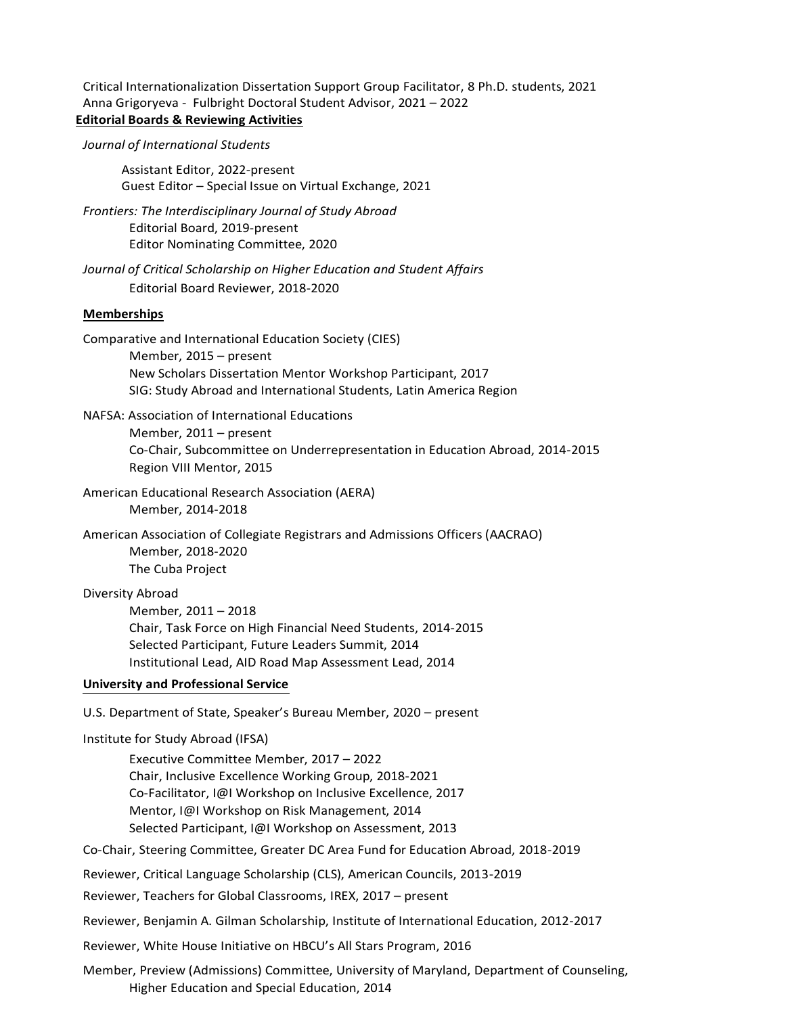Critical Internationalization Dissertation Support Group Facilitator, 8 Ph.D. students, 2021 Anna Grigoryeva - Fulbright Doctoral Student Advisor, 2021 – 2022 **Editorial Boards & Reviewing Activities**

### *Journal of International Students*

Assistant Editor, 2022-present Guest Editor – Special Issue on Virtual Exchange, 2021

*Frontiers: The Interdisciplinary Journal of Study Abroad* Editorial Board, 2019-present Editor Nominating Committee, 2020

*Journal of Critical Scholarship on Higher Education and Student Affairs* Editorial Board Reviewer, 2018-2020

## **Memberships**

Comparative and International Education Society (CIES)

Member, 2015 – present New Scholars Dissertation Mentor Workshop Participant, 2017 SIG: Study Abroad and International Students, Latin America Region

NAFSA: Association of International Educations Member, 2011 – present Co-Chair, Subcommittee on Underrepresentation in Education Abroad, 2014-2015 Region VIII Mentor, 2015

American Educational Research Association (AERA) Member, 2014-2018

American Association of Collegiate Registrars and Admissions Officers (AACRAO) Member, 2018-2020 The Cuba Project

#### Diversity Abroad

Member, 2011 – 2018 Chair, Task Force on High Financial Need Students, 2014-2015 Selected Participant, Future Leaders Summit, 2014 Institutional Lead, AID Road Map Assessment Lead, 2014

# **University and Professional Service**

U.S. Department of State, Speaker's Bureau Member, 2020 – present

Institute for Study Abroad (IFSA)

Executive Committee Member, 2017 – 2022 Chair, Inclusive Excellence Working Group, 2018-2021 Co-Facilitator, I@I Workshop on Inclusive Excellence, 2017 Mentor, I@I Workshop on Risk Management, 2014 Selected Participant, I@I Workshop on Assessment, 2013

Co-Chair, Steering Committee, Greater DC Area Fund for Education Abroad, 2018-2019

Reviewer, Critical Language Scholarship (CLS), American Councils, 2013-2019

Reviewer, Teachers for Global Classrooms, IREX, 2017 – present

Reviewer, Benjamin A. Gilman Scholarship, Institute of International Education, 2012-2017

Reviewer, White House Initiative on HBCU's All Stars Program, 2016

Member, Preview (Admissions) Committee, University of Maryland, Department of Counseling, Higher Education and Special Education, 2014